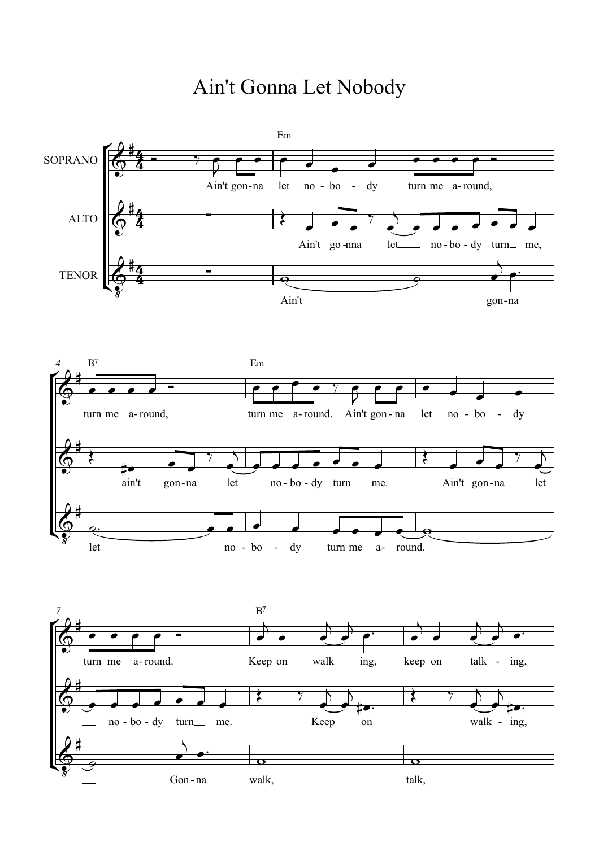## Ain't Gonna Let Nobody